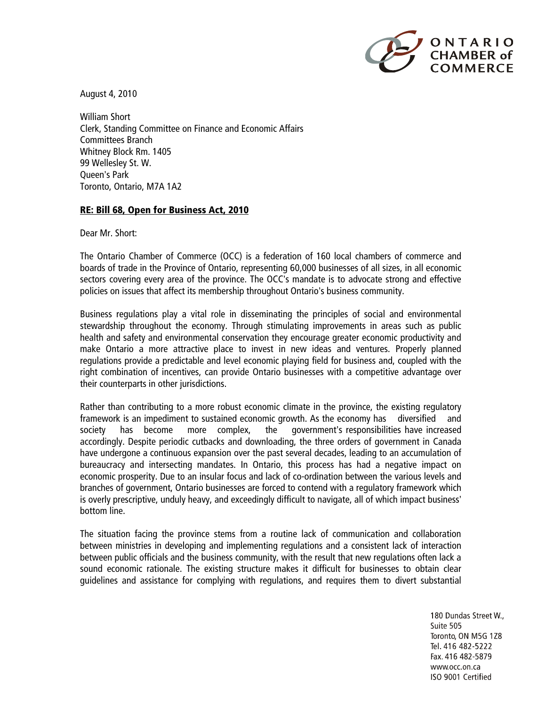

August 4, 2010

William Short Clerk, Standing Committee on Finance and Economic Affairs Committees Branch Whitney Block Rm. 1405 99 Wellesley St. W. Queen's Park Toronto, Ontario, M7A 1A2

## **RE: Bill 68, Open for Business Act, 2010**

Dear Mr. Short:

The Ontario Chamber of Commerce (OCC) is a federation of 160 local chambers of commerce and boards of trade in the Province of Ontario, representing 60,000 businesses of all sizes, in all economic sectors covering every area of the province. The OCC's mandate is to advocate strong and effective policies on issues that affect its membership throughout Ontario's business community.

Business regulations play a vital role in disseminating the principles of social and environmental stewardship throughout the economy. Through stimulating improvements in areas such as public health and safety and environmental conservation they encourage greater economic productivity and make Ontario a more attractive place to invest in new ideas and ventures. Properly planned regulations provide a predictable and level economic playing field for business and, coupled with the right combination of incentives, can provide Ontario businesses with a competitive advantage over their counterparts in other jurisdictions.

Rather than contributing to a more robust economic climate in the province, the existing regulatory framework is an impediment to sustained economic growth. As the economy has diversified and society has become more complex, the government's responsibilities have increased accordingly. Despite periodic cutbacks and downloading, the three orders of government in Canada have undergone a continuous expansion over the past several decades, leading to an accumulation of bureaucracy and intersecting mandates. In Ontario, this process has had a negative impact on economic prosperity. Due to an insular focus and lack of co-ordination between the various levels and branches of government, Ontario businesses are forced to contend with a regulatory framework which is overly prescriptive, unduly heavy, and exceedingly difficult to navigate, all of which impact business' bottom line.

The situation facing the province stems from a routine lack of communication and collaboration between ministries in developing and implementing regulations and a consistent lack of interaction between public officials and the business community, with the result that new regulations often lack a sound economic rationale. The existing structure makes it difficult for businesses to obtain clear guidelines and assistance for complying with regulations, and requires them to divert substantial

> 180 Dundas Street W., Suite 505 Toronto, ON M5G 1Z8 Tel. 416 482-5222 Fax. 416 482-5879 www.occ.on.ca ISO 9001 Certified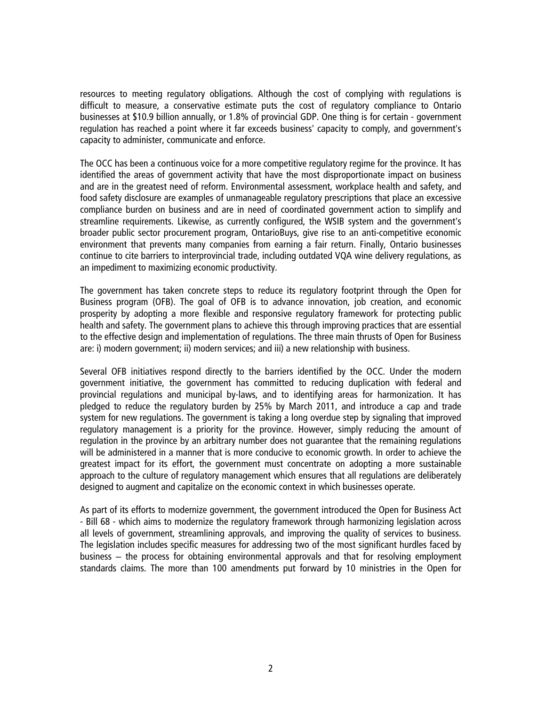resources to meeting regulatory obligations. Although the cost of complying with regulations is difficult to measure, a conservative estimate puts the cost of regulatory compliance to Ontario businesses at \$10.9 billion annually, or 1.8% of provincial GDP. One thing is for certain - government regulation has reached a point where it far exceeds business' capacity to comply, and government's capacity to administer, communicate and enforce.

The OCC has been a continuous voice for a more competitive regulatory regime for the province. It has identified the areas of government activity that have the most disproportionate impact on business and are in the greatest need of reform. Environmental assessment, workplace health and safety, and food safety disclosure are examples of unmanageable regulatory prescriptions that place an excessive compliance burden on business and are in need of coordinated government action to simplify and streamline requirements. Likewise, as currently configured, the WSIB system and the government's broader public sector procurement program, OntarioBuys, give rise to an anti-competitive economic environment that prevents many companies from earning a fair return. Finally, Ontario businesses continue to cite barriers to interprovincial trade, including outdated VQA wine delivery regulations, as an impediment to maximizing economic productivity.

The government has taken concrete steps to reduce its regulatory footprint through the Open for Business program (OFB). The goal of OFB is to advance innovation, job creation, and economic prosperity by adopting a more flexible and responsive regulatory framework for protecting public health and safety. The government plans to achieve this through improving practices that are essential to the effective design and implementation of regulations. The three main thrusts of Open for Business are: i) modern government; ii) modern services; and iii) a new relationship with business.

Several OFB initiatives respond directly to the barriers identified by the OCC. Under the modern government initiative, the government has committed to reducing duplication with federal and provincial regulations and municipal by-laws, and to identifying areas for harmonization. It has pledged to reduce the regulatory burden by 25% by March 2011, and introduce a cap and trade system for new regulations. The government is taking a long overdue step by signaling that improved regulatory management is a priority for the province. However, simply reducing the amount of regulation in the province by an arbitrary number does not guarantee that the remaining regulations will be administered in a manner that is more conducive to economic growth. In order to achieve the greatest impact for its effort, the government must concentrate on adopting a more sustainable approach to the culture of regulatory management which ensures that all regulations are deliberately designed to augment and capitalize on the economic context in which businesses operate.

As part of its efforts to modernize government, the government introduced the Open for Business Act - Bill 68 - which aims to modernize the regulatory framework through harmonizing legislation across all levels of government, streamlining approvals, and improving the quality of services to business. The legislation includes specific measures for addressing two of the most significant hurdles faced by business – the process for obtaining environmental approvals and that for resolving employment standards claims. The more than 100 amendments put forward by 10 ministries in the Open for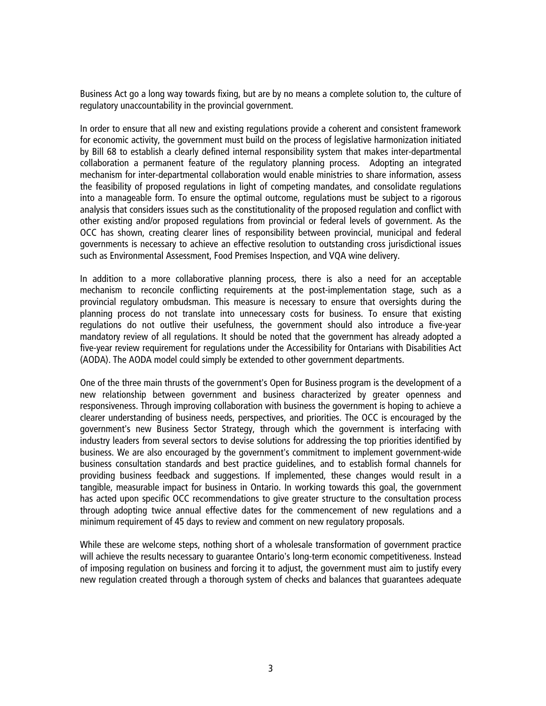Business Act go a long way towards fixing, but are by no means a complete solution to, the culture of regulatory unaccountability in the provincial government.

In order to ensure that all new and existing regulations provide a coherent and consistent framework for economic activity, the government must build on the process of legislative harmonization initiated by Bill 68 to establish a clearly defined internal responsibility system that makes inter-departmental collaboration a permanent feature of the regulatory planning process. Adopting an integrated mechanism for inter-departmental collaboration would enable ministries to share information, assess the feasibility of proposed regulations in light of competing mandates, and consolidate regulations into a manageable form. To ensure the optimal outcome, regulations must be subject to a rigorous analysis that considers issues such as the constitutionality of the proposed regulation and conflict with other existing and/or proposed regulations from provincial or federal levels of government. As the OCC has shown, creating clearer lines of responsibility between provincial, municipal and federal governments is necessary to achieve an effective resolution to outstanding cross jurisdictional issues such as Environmental Assessment, Food Premises Inspection, and VQA wine delivery.

In addition to a more collaborative planning process, there is also a need for an acceptable mechanism to reconcile conflicting requirements at the post-implementation stage, such as a provincial regulatory ombudsman. This measure is necessary to ensure that oversights during the planning process do not translate into unnecessary costs for business. To ensure that existing regulations do not outlive their usefulness, the government should also introduce a five-year mandatory review of all regulations. It should be noted that the government has already adopted a five-year review requirement for regulations under the Accessibility for Ontarians with Disabilities Act (AODA). The AODA model could simply be extended to other government departments.

One of the three main thrusts of the government's Open for Business program is the development of a new relationship between government and business characterized by greater openness and responsiveness. Through improving collaboration with business the government is hoping to achieve a clearer understanding of business needs, perspectives, and priorities. The OCC is encouraged by the government's new Business Sector Strategy, through which the government is interfacing with industry leaders from several sectors to devise solutions for addressing the top priorities identified by business. We are also encouraged by the government's commitment to implement government-wide business consultation standards and best practice guidelines, and to establish formal channels for providing business feedback and suggestions. If implemented, these changes would result in a tangible, measurable impact for business in Ontario. In working towards this goal, the government has acted upon specific OCC recommendations to give greater structure to the consultation process through adopting twice annual effective dates for the commencement of new regulations and a minimum requirement of 45 days to review and comment on new regulatory proposals.

While these are welcome steps, nothing short of a wholesale transformation of government practice will achieve the results necessary to guarantee Ontario's long-term economic competitiveness. Instead of imposing regulation on business and forcing it to adjust, the government must aim to justify every new regulation created through a thorough system of checks and balances that guarantees adequate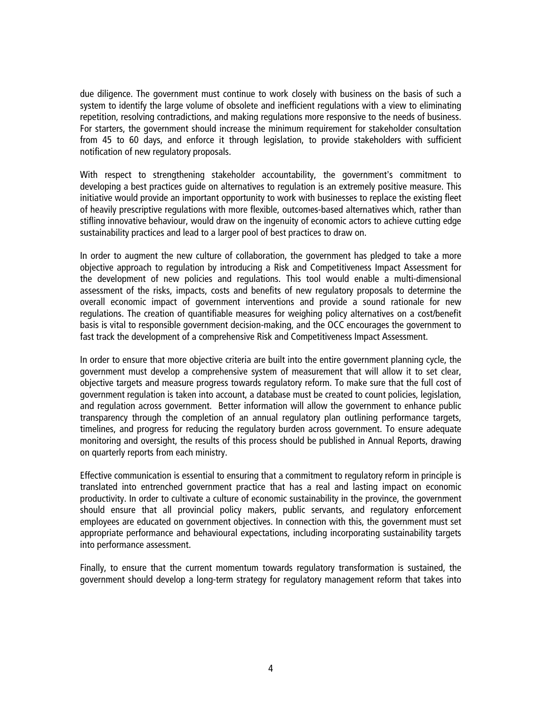due diligence. The government must continue to work closely with business on the basis of such a system to identify the large volume of obsolete and inefficient regulations with a view to eliminating repetition, resolving contradictions, and making regulations more responsive to the needs of business. For starters, the government should increase the minimum requirement for stakeholder consultation from 45 to 60 days, and enforce it through legislation, to provide stakeholders with sufficient notification of new regulatory proposals.

With respect to strengthening stakeholder accountability, the government's commitment to developing a best practices guide on alternatives to regulation is an extremely positive measure. This initiative would provide an important opportunity to work with businesses to replace the existing fleet of heavily prescriptive regulations with more flexible, outcomes-based alternatives which, rather than stifling innovative behaviour, would draw on the ingenuity of economic actors to achieve cutting edge sustainability practices and lead to a larger pool of best practices to draw on.

In order to augment the new culture of collaboration, the government has pledged to take a more objective approach to regulation by introducing a Risk and Competitiveness Impact Assessment for the development of new policies and regulations. This tool would enable a multi-dimensional assessment of the risks, impacts, costs and benefits of new regulatory proposals to determine the overall economic impact of government interventions and provide a sound rationale for new regulations. The creation of quantifiable measures for weighing policy alternatives on a cost/benefit basis is vital to responsible government decision-making, and the OCC encourages the government to fast track the development of a comprehensive Risk and Competitiveness Impact Assessment.

In order to ensure that more objective criteria are built into the entire government planning cycle, the government must develop a comprehensive system of measurement that will allow it to set clear, objective targets and measure progress towards regulatory reform. To make sure that the full cost of government regulation is taken into account, a database must be created to count policies, legislation, and regulation across government. Better information will allow the government to enhance public transparency through the completion of an annual regulatory plan outlining performance targets, timelines, and progress for reducing the regulatory burden across government. To ensure adequate monitoring and oversight, the results of this process should be published in Annual Reports, drawing on quarterly reports from each ministry.

Effective communication is essential to ensuring that a commitment to regulatory reform in principle is translated into entrenched government practice that has a real and lasting impact on economic productivity. In order to cultivate a culture of economic sustainability in the province, the government should ensure that all provincial policy makers, public servants, and regulatory enforcement employees are educated on government objectives. In connection with this, the government must set appropriate performance and behavioural expectations, including incorporating sustainability targets into performance assessment.

Finally, to ensure that the current momentum towards regulatory transformation is sustained, the government should develop a long-term strategy for regulatory management reform that takes into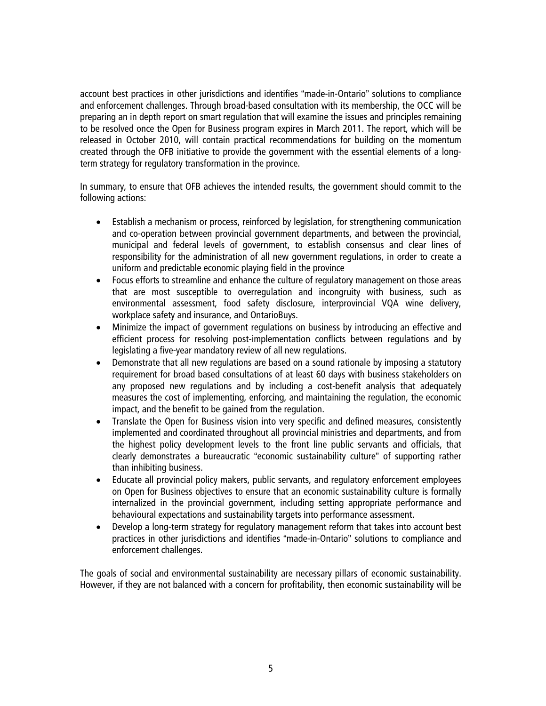account best practices in other jurisdictions and identifies "made-in-Ontario" solutions to compliance and enforcement challenges. Through broad-based consultation with its membership, the OCC will be preparing an in depth report on smart regulation that will examine the issues and principles remaining to be resolved once the Open for Business program expires in March 2011. The report, which will be released in October 2010, will contain practical recommendations for building on the momentum created through the OFB initiative to provide the government with the essential elements of a longterm strategy for regulatory transformation in the province.

In summary, to ensure that OFB achieves the intended results, the government should commit to the following actions:

- Establish a mechanism or process, reinforced by legislation, for strengthening communication and co-operation between provincial government departments, and between the provincial, municipal and federal levels of government, to establish consensus and clear lines of responsibility for the administration of all new government regulations, in order to create a uniform and predictable economic playing field in the province
- Focus efforts to streamline and enhance the culture of regulatory management on those areas that are most susceptible to overregulation and incongruity with business, such as environmental assessment, food safety disclosure, interprovincial VQA wine delivery, workplace safety and insurance, and OntarioBuys.
- Minimize the impact of government regulations on business by introducing an effective and efficient process for resolving post-implementation conflicts between regulations and by legislating a five-year mandatory review of all new regulations.
- Demonstrate that all new regulations are based on a sound rationale by imposing a statutory requirement for broad based consultations of at least 60 days with business stakeholders on any proposed new regulations and by including a cost-benefit analysis that adequately measures the cost of implementing, enforcing, and maintaining the regulation, the economic impact, and the benefit to be gained from the regulation.
- Translate the Open for Business vision into very specific and defined measures, consistently implemented and coordinated throughout all provincial ministries and departments, and from the highest policy development levels to the front line public servants and officials, that clearly demonstrates a bureaucratic "economic sustainability culture" of supporting rather than inhibiting business.
- Educate all provincial policy makers, public servants, and regulatory enforcement employees on Open for Business objectives to ensure that an economic sustainability culture is formally internalized in the provincial government, including setting appropriate performance and behavioural expectations and sustainability targets into performance assessment.
- Develop a long-term strategy for regulatory management reform that takes into account best practices in other jurisdictions and identifies "made-in-Ontario" solutions to compliance and enforcement challenges.

The goals of social and environmental sustainability are necessary pillars of economic sustainability. However, if they are not balanced with a concern for profitability, then economic sustainability will be